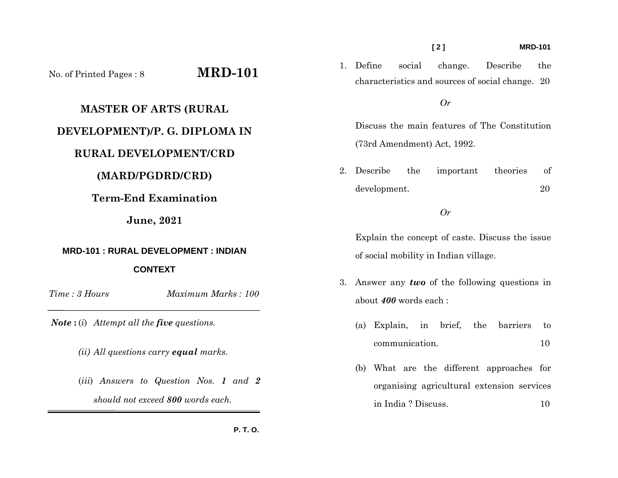### **[ 2 ] MRD-101**

No. of Printed Pages : 8 **MRD-101**

### **MASTER OF ARTS (RURAL**

# **DEVELOPMENT)/P. G. DIPLOMA IN**

## **RURAL DEVELOPMENT/CRD**

### **(MARD/PGDRD/CRD)**

# **Term-End Examination**

### **June, 2021**

# **MRD-101 : RURAL DEVELOPMENT : INDIAN**

### **CONTEXT**

*Time : 3 HoursMaximum Marks : 100* 

*Note* **:** (*i*) *Attempt all the five questions.* 

- *(ii) All questions carry equal marks.*
- (*iii*) *Answers to Question Nos. 1 and 2 should not exceed 800 words each.*

1. Define social change. Describe the characteristics and sources of social change. 20

### *Or*

Discuss the main features of The Constitution (73rd Amendment) Act, 1992.

2. Describe the important theories of development. 20

#### *Or*

Explain the concept of caste. Discuss the issue of social mobility in Indian village.

- 3. Answer any *two* of the following questions in about *400* words each :
	- (a) Explain, in brief, the barriers to communication. 10
	- (b) What are the different approaches for organising agricultural extension services in India ? Discuss. 10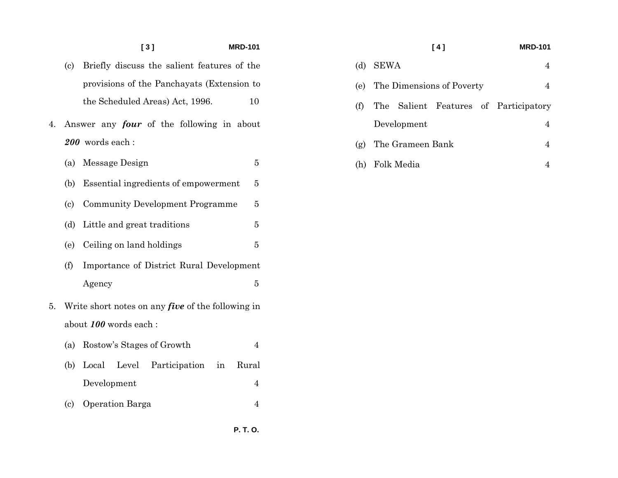### **[ 3 ] MRD-101**

- (c) Briefly discuss the salient features of the provisions of the Panchayats (Extension to the Scheduled Areas) Act, 1996. 10
- 4. Answer any *four* of the following in about *200* words each :
	- (a) Message Design 5
	- (b) Essential ingredients of empowerment 5
	- (c) Community Development Programme 5
	- (d) Little and great traditions 5
	- (e) Ceiling on land holdings 5
	- (f) Importance of District Rural Development Agency 5
- 5. Write short notes on any *five* of the following in about *100* words each :
	- (a) Rostow's Stages of Growth 4
	- (b) Local Level Participation in Rural Development 4
	- (c) Operation Barga 4

# **[ 4 ] MRD-101**

(d) SEWA 4

|     | (e) The Dimensions of Poverty |  |                                       |
|-----|-------------------------------|--|---------------------------------------|
| (f) |                               |  | The Salient Features of Participatory |
|     | Development                   |  |                                       |
|     | (g) The Grameen Bank          |  |                                       |
|     | (h) Folk Media                |  |                                       |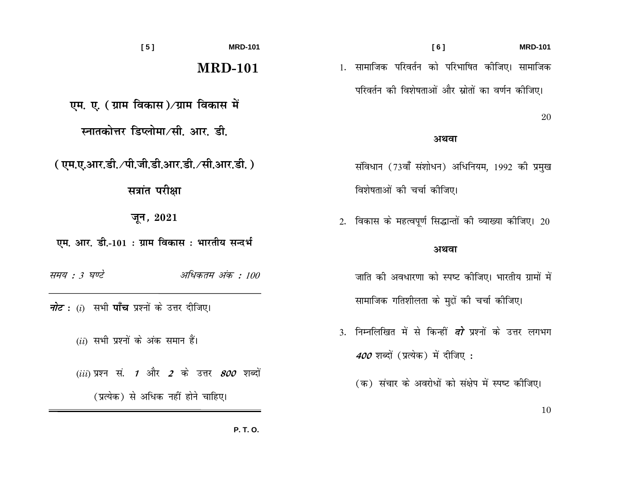| [5]                                                                                  | <b>MRD-101</b> |                           | [6]                                                           |      | <b>MRD-101</b> |  |
|--------------------------------------------------------------------------------------|----------------|---------------------------|---------------------------------------------------------------|------|----------------|--|
|                                                                                      | <b>MRD-101</b> |                           | 1. सामाजिक परिवर्तन को परिभाषित कीजिए। सामाजिक                |      |                |  |
| एम. ए. ( ग्राम विकास)∕ग्राम विकास में                                                |                |                           | परिवर्तन की विशेषताओं और स्रोतों का वर्णन कीजिए।              |      | 20             |  |
| स्नातकोत्तर डिप्लोमा ∕सी. आर. डी.                                                    |                | अथवा                      |                                                               |      |                |  |
| (एम.ए.आर.डी./पी.जी.डी.आर.डी./सी.आर.डी.)                                              |                |                           | संविधान (73वाँ संशोधन) अधिनियम, 1992 की प्रमुख                |      |                |  |
| सत्रांत परीक्षा                                                                      |                | विशेषताओं की चर्चा कीजिए। |                                                               |      |                |  |
| जून, $2021$                                                                          |                |                           | 2. विकास के महत्वपूर्ण सिद्धान्तों की व्याख्या कीजिए। 20      |      |                |  |
| एम. आर. डी.-101 : ग्राम विकास : भारतीय सन्दर्भ                                       |                |                           |                                                               | अथवा |                |  |
| समय : 3 घण्टे<br>अधिकतम अंक : 100                                                    |                |                           | जाति की अवधारणा को स्पष्ट कीजिए। भारतीय ग्रामों में           |      |                |  |
| <i>नोट</i> : (i)  सभी <b>पाँच</b> प्रश्नों के उत्तर दीजिए।                           |                |                           | सामाजिक गतिशीलता के मुद्दों की चर्चा कीजिए।                   |      |                |  |
| $(ii)$ सभी प्रश्नों के अंक समान हैं।                                                 |                |                           | 3. निम्नलिखित में से किन्हीं <i>दो</i> प्रश्नों के उत्तर लगभग |      |                |  |
|                                                                                      |                |                           | 400 शब्दों (प्रत्येक) में दीजिए :                             |      |                |  |
| $(iii)$ प्रश्न सं. 1 और 2 के उत्तर 800 शब्दों<br>(प्रत्येक) से अधिक नहीं होने चाहिए। |                |                           | (क) संचार के अवरोधों को संक्षेप में स्पष्ट कीजिए।             |      |                |  |
|                                                                                      |                |                           |                                                               |      | 10             |  |